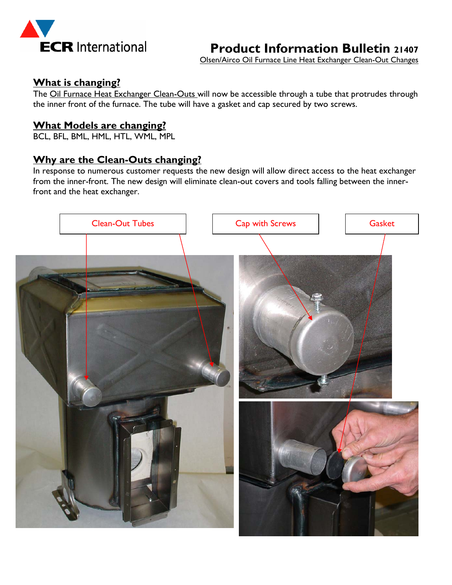

**Product Information Bulletin 21407**

Olsen/Airco Oil Furnace Line Heat Exchanger Clean-Out Changes

### **What is changing?**

The Oil Furnace Heat Exchanger Clean-Outs will now be accessible through a tube that protrudes through the inner front of the furnace. The tube will have a gasket and cap secured by two screws.

### **What Models are changing?**

BCL, BFL, BML, HML, HTL, WML, MPL

## **Why are the Clean-Outs changing?**

In response to numerous customer requests the new design will allow direct access to the heat exchanger from the inner-front. The new design will eliminate clean-out covers and tools falling between the innerfront and the heat exchanger.